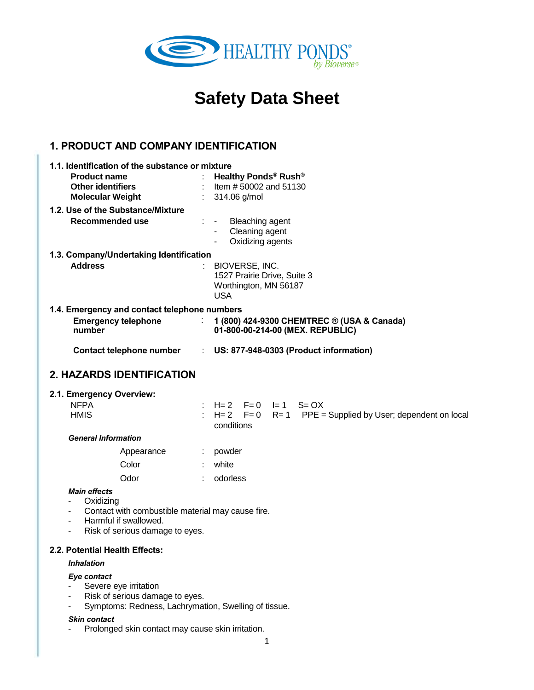

# **Safety Data Sheet Health Ponds by Bioverse**

# **1. PRODUCT AND COMPANY IDENTIFICATION**

|                                              | 1.1. Identification of the substance or mixture                                                          |  |  |  |
|----------------------------------------------|----------------------------------------------------------------------------------------------------------|--|--|--|
|                                              | Healthy Ponds <sup>®</sup> Rush <sup>®</sup>                                                             |  |  |  |
|                                              | : Item $\# 50002$ and $51130$<br>$: 314.06$ g/mol                                                        |  |  |  |
|                                              |                                                                                                          |  |  |  |
|                                              | $\therefore$ Bleaching agent                                                                             |  |  |  |
|                                              | Cleaning agent<br>$\blacksquare$                                                                         |  |  |  |
|                                              | Oxidizing agents<br>$\blacksquare$                                                                       |  |  |  |
| 1.3. Company/Undertaking Identification      |                                                                                                          |  |  |  |
|                                              | $\therefore$ BIOVERSE, INC.<br>1527 Prairie Drive, Suite 3<br>Worthington, MN 56187<br>USA               |  |  |  |
| 1.4. Emergency and contact telephone numbers |                                                                                                          |  |  |  |
|                                              | $\therefore$ 1 (800) 424-9300 CHEMTREC $\circledcirc$ (USA & Canada)<br>01-800-00-214-00 (MEX. REPUBLIC) |  |  |  |
|                                              | : US: 877-948-0303 (Product information)                                                                 |  |  |  |
|                                              | Contact telephone number                                                                                 |  |  |  |

# **2. HAZARDS IDENTIFICATION**

#### **2.1. Emergency Overview:**

| <b>NFPA</b>                |            |            |  | : H= 2 F= 0 I= 1 S= OX                                             |
|----------------------------|------------|------------|--|--------------------------------------------------------------------|
| <b>HMIS</b>                |            |            |  | $\pm$ H = 2 F = 0 R = 1 PPE = Supplied by User; dependent on local |
|                            |            | conditions |  |                                                                    |
| <b>General Information</b> |            |            |  |                                                                    |
|                            | Appearance | powder     |  |                                                                    |
|                            | Color      | white      |  |                                                                    |

| Odor | odorless |
|------|----------|
|      |          |

### *Main effects*

- Oxidizing
- Contact with combustible material may cause fire.
- Harmful if swallowed.
- Risk of serious damage to eyes.

#### **2.2. Potential Health Effects:**

#### *Inhalation*

#### *Eye contact*

- Severe eye irritation
- Risk of serious damage to eyes.
- Symptoms: Redness, Lachrymation, Swelling of tissue.

#### *Skin contact*

- Prolonged skin contact may cause skin irritation.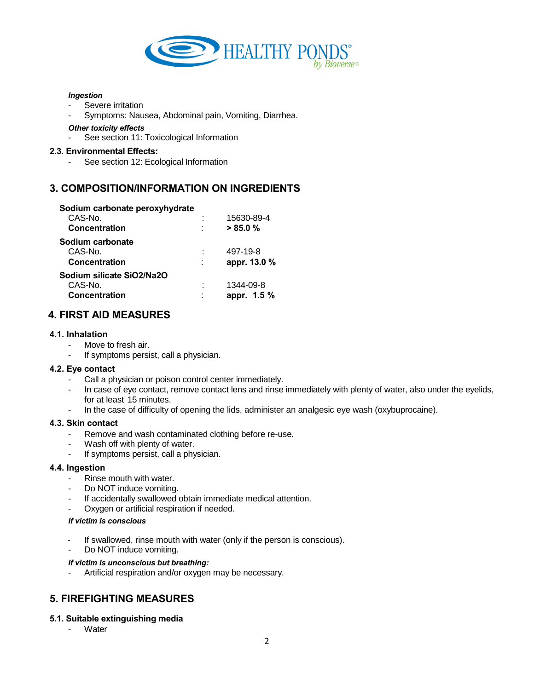

#### *Ingestion*

- Severe irritation
- Symptoms: Nausea, Abdominal pain, Vomiting, Diarrhea.

#### *Other toxicity effects*

See section 11: Toxicological Information

### **2.3. Environmental Effects:**

See section 12: Ecological Information

# **3. COMPOSITION/INFORMATION ON INGREDIENTS**

| Sodium carbonate peroxyhydrate |        |              |
|--------------------------------|--------|--------------|
| CAS-No.                        |        | 15630-89-4   |
| Concentration                  | ٠      | >85.0%       |
| Sodium carbonate               |        |              |
| CAS-No.                        |        | 497-19-8     |
| Concentration                  | t      | appr. 13.0 % |
| Sodium silicate SiO2/Na2O      |        |              |
| CAS-No.                        |        | 1344-09-8    |
| Concentration                  | ٠<br>٠ | appr. 1.5 %  |

# **4. FIRST AID MEASURES**

### **4.1. Inhalation**

- Move to fresh air.
- If symptoms persist, call a physician.

#### **4.2. Eye contact**

- Call a physician or poison control center immediately.
- In case of eye contact, remove contact lens and rinse immediately with plenty of water, also under the eyelids, for at least 15 minutes.
- In the case of difficulty of opening the lids, administer an analgesic eye wash (oxybuprocaine).

#### **4.3. Skin contact**

- Remove and wash contaminated clothing before re-use.
- Wash off with plenty of water.
- If symptoms persist, call a physician.

#### **4.4. Ingestion**

- Rinse mouth with water.
- Do NOT induce vomiting.
- If accidentally swallowed obtain immediate medical attention.
- Oxygen or artificial respiration if needed.

#### *If victim is conscious*

- If swallowed, rinse mouth with water (only if the person is conscious).
- Do NOT induce vomiting.

#### *If victim is unconscious but breathing:*

Artificial respiration and/or oxygen may be necessary.

# **5. FIREFIGHTING MEASURES**

#### **5.1. Suitable extinguishing media**

**Water**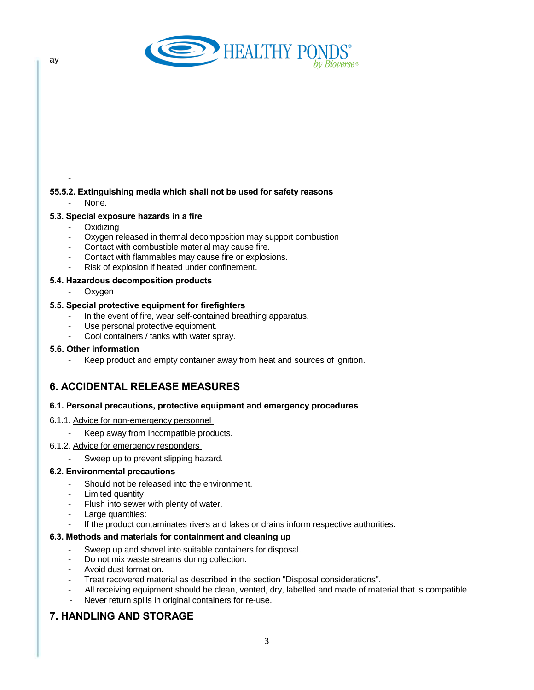

### **55.5.2. Extinguishing media which shall not be used for safety reasons**

None.

-

### **5.3. Special exposure hazards in a fire**

- **Oxidizing**
- Oxygen released in thermal decomposition may support combustion
- Contact with combustible material may cause fire.
- Contact with flammables may cause fire or explosions.
- Risk of explosion if heated under confinement.

#### **5.4. Hazardous decomposition products**

- Oxygen

### **5.5. Special protective equipment for firefighters**

- In the event of fire, wear self-contained breathing apparatus.
- Use personal protective equipment.
- Cool containers / tanks with water spray.

### **5.6. Other information**

Keep product and empty container away from heat and sources of ignition.

# **6. ACCIDENTAL RELEASE MEASURES**

#### **6.1. Personal precautions, protective equipment and emergency procedures**

- 6.1.1. Advice for non-emergency personnel
	- Keep away from Incompatible products.
- 6.1.2. Advice for emergency responders
	- Sweep up to prevent slipping hazard.

#### **6.2. Environmental precautions**

- Should not be released into the environment.
- Limited quantity
- Flush into sewer with plenty of water.
- Large quantities:
- If the product contaminates rivers and lakes or drains inform respective authorities.

#### **6.3. Methods and materials for containment and cleaning up**

- Sweep up and shovel into suitable containers for disposal.
- Do not mix waste streams during collection.
- Avoid dust formation.
- Treat recovered material as described in the section "Disposal considerations".
- All receiving equipment should be clean, vented, dry, labelled and made of material that is compatible
- Never return spills in original containers for re-use.

# **7. HANDLING AND STORAGE**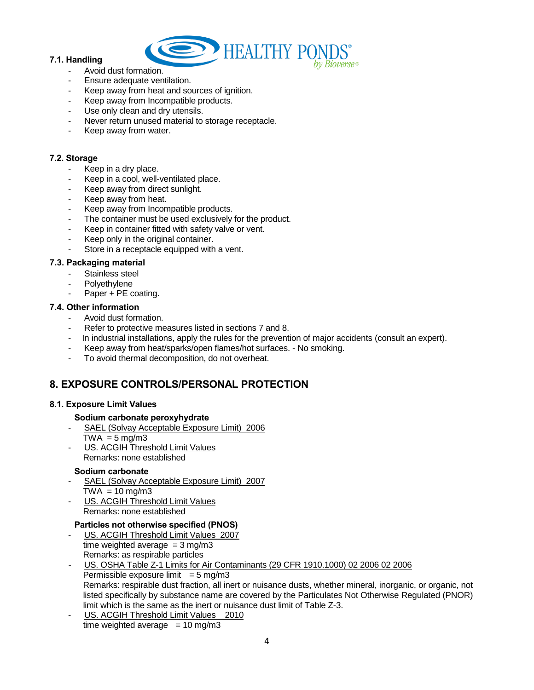

### **7.1. Handling**

- Avoid dust formation.
- Ensure adequate ventilation.
- Keep away from heat and sources of ignition.
- Keep away from Incompatible products.
- Use only clean and dry utensils.
- Never return unused material to storage receptacle.
- Keep away from water.

### **7.2. Storage**

- Keep in a dry place.
- Keep in a cool, well-ventilated place.
- Keep away from direct sunlight.
- Keep away from heat.
- Keep away from Incompatible products.
- The container must be used exclusively for the product.
- Keep in container fitted with safety valve or vent.
- Keep only in the original container.
- Store in a receptacle equipped with a vent.

### **7.3. Packaging material**

- Stainless steel
- Polyethylene
- Paper + PE coating.

### **7.4. Other information**

- Avoid dust formation.
- Refer to protective measures listed in sections 7 and 8.
- In industrial installations, apply the rules for the prevention of major accidents (consult an expert).
- Keep away from heat/sparks/open flames/hot surfaces. No smoking.
- To avoid thermal decomposition, do not overheat.

# **8. EXPOSURE CONTROLS/PERSONAL PROTECTION**

#### **8.1. Exposure Limit Values**

#### **Sodium carbonate peroxyhydrate**

- SAEL (Solvay Acceptable Exposure Limit) 2006  $\overline{\text{TWA}}$  = 5 mg/m3
- US. ACGIH Threshold Limit Values Remarks: none established

#### **Sodium carbonate**

- SAEL (Solvay Acceptable Exposure Limit) 2007  $TWA = 10$  mg/m3
- US. ACGIH Threshold Limit Values Remarks: none established

### **Particles not otherwise specified (PNOS)**

- US. ACGIH Threshold Limit Values 2007 time weighted average  $= 3$  mg/m3 Remarks: as respirable particles
- US. OSHA Table Z-1 Limits for Air Contaminants (29 CFR 1910.1000) 02 2006 02 2006 Permissible exposure limit  $= 5$  mg/m3 Remarks: respirable dust fraction, all inert or nuisance dusts, whether mineral, inorganic, or organic, not listed specifically by substance name are covered by the Particulates Not Otherwise Regulated (PNOR) limit which is the same as the inert or nuisance dust limit of Table Z-3.
- US. ACGIH Threshold Limit Values 2010 time weighted average  $= 10$  mg/m3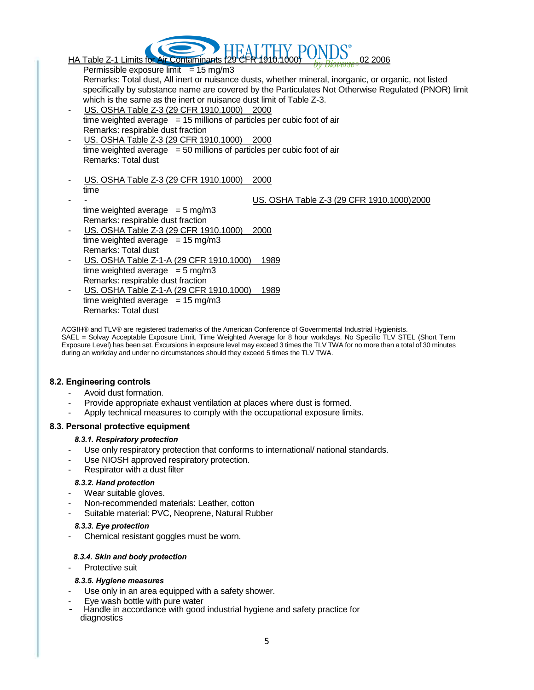

Permissible exposure limit  $= 15$  mg/m3 Remarks: Total dust, All inert or nuisance dusts, whether mineral, inorganic, or organic, not listed specifically by substance name are covered by the Particulates Not Otherwise Regulated (PNOR) limit which is the same as the inert or nuisance dust limit of Table Z-3. US. OSHA Table Z-3 (29 CFR 1910.1000) 2000 time weighted average  $= 15$  millions of particles per cubic foot of air Remarks: respirable dust fraction US. OSHA Table Z-3 (29 CFR 1910.1000) 2000 time weighted average  $= 50$  millions of particles per cubic foot of air Remarks: Total dust US. OSHA Table Z-3 (29 CFR 1910.1000) 2000 time US. OSHA Table Z-3 (29 CFR 1910.1000)2000 time weighted average  $= 5$  mg/m3 Remarks: respirable dust fraction US. OSHA Table Z-3 (29 CFR 1910.1000) 2000 time weighted average  $= 15$  mg/m3 Remarks: Total dust US. OSHA Table Z-1-A (29 CFR 1910.1000) 1989 time weighted average  $= 5$  mg/m3

Remarks: respirable dust fraction US. OSHA Table Z-1-A (29 CFR 1910.1000) 1989 time weighted average  $= 15$  mg/m3 Remarks: Total dust

ACGIH® and TLV® are registered trademarks of the American Conference of Governmental Industrial Hygienists. SAEL = Solvay Acceptable Exposure Limit, Time Weighted Average for 8 hour workdays. No Specific TLV STEL (Short Term Exposure Level) has been set. Excursions in exposure level may exceed 3 times the TLV TWA for no more than a total of 30 minutes during an workday and under no circumstances should they exceed 5 times the TLV TWA.

### **8.2. Engineering controls**

- Avoid dust formation.
- Provide appropriate exhaust ventilation at places where dust is formed.
- Apply technical measures to comply with the occupational exposure limits.

#### **8.3. Personal protective equipment**

#### *8.3.1. Respiratory protection*

- Use only respiratory protection that conforms to international/ national standards.
- Use NIOSH approved respiratory protection.
- Respirator with a dust filter

#### *8.3.2. Hand protection*

- Wear suitable gloves.
- Non-recommended materials: Leather, cotton
- Suitable material: PVC, Neoprene, Natural Rubber

#### *8.3.3. Eye protection*

Chemical resistant goggles must be worn.

#### *8.3.4. Skin and body protection*

Protective suit

#### *8.3.5. Hygiene measures*

- Use only in an area equipped with a safety shower.
- Eye wash bottle with pure water
- Handle in accordance with good industrial hygiene and safety practice for diagnostics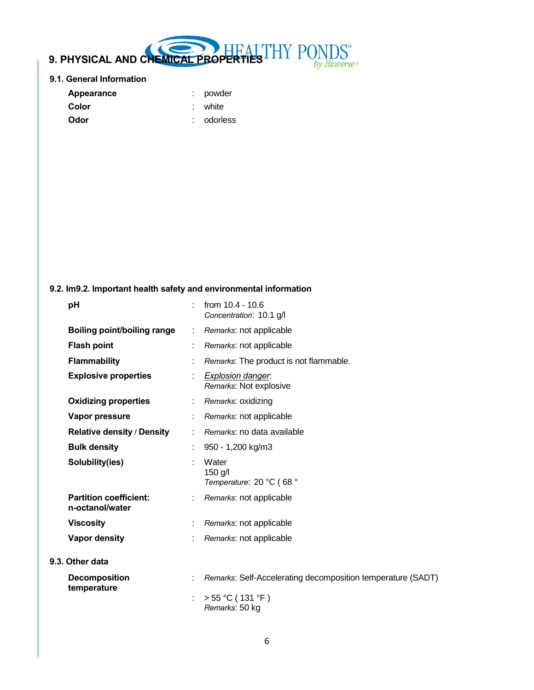# **9. PHYSICAL AND CHEMICAL PROPERTIES**  $S^*$ by Bioverse®

### **9.1. General Information**

| Appearance | : powder   |
|------------|------------|
| Color      | : white    |
| Odor       | : odorless |

# **9.2. Im9.2. Important health safety and environmental information**

| pH                                               |   | from 10.4 - 10.6<br>Concentration: 10.1 g/l                 |
|--------------------------------------------------|---|-------------------------------------------------------------|
| Boiling point/boiling range                      |   | Remarks: not applicable                                     |
| <b>Flash point</b>                               |   | Remarks: not applicable                                     |
| <b>Flammability</b>                              |   | Remarks: The product is not flammable.                      |
| <b>Explosive properties</b>                      | ÷ | <b>Explosion danger.</b><br>Remarks: Not explosive          |
| <b>Oxidizing properties</b>                      |   | : Remarks: oxidizing                                        |
| Vapor pressure                                   |   | Remarks: not applicable                                     |
| <b>Relative density / Density</b>                |   | Remarks: no data available                                  |
| <b>Bulk density</b>                              |   | 950 - 1,200 kg/m3                                           |
| Solubility(ies)                                  |   | Water<br>$150$ g/l<br>Temperature: 20 °C (68 °              |
| <b>Partition coefficient:</b><br>n-octanol/water |   | Remarks: not applicable                                     |
| <b>Viscosity</b>                                 |   | Remarks: not applicable                                     |
| <b>Vapor density</b>                             |   | Remarks: not applicable                                     |
| 9.3. Other data                                  |   |                                                             |
| <b>Decomposition</b><br>temperature              |   | Remarks: Self-Accelerating decomposition temperature (SADT) |
|                                                  |   | > 55 °C (131 °F)<br>Remarks: 50 kg                          |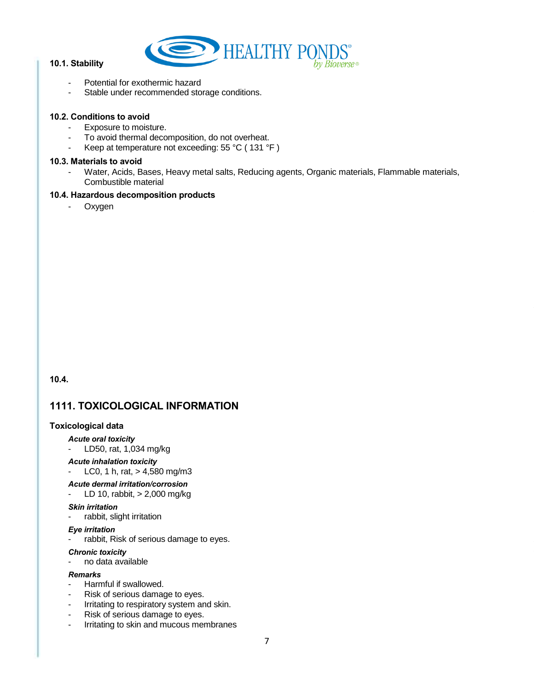

### **10.1. Stability**

- Potential for exothermic hazard
- Stable under recommended storage conditions.

### **10.2. Conditions to avoid**

- Exposure to moisture.
- To avoid thermal decomposition, do not overheat.
- Keep at temperature not exceeding: 55 °C (131 °F)

#### **10.3. Materials to avoid**

- Water, Acids, Bases, Heavy metal salts, Reducing agents, Organic materials, Flammable materials, Combustible material

#### **10.4. Hazardous decomposition products**

- Oxygen

**10.4.** 

# **1111. TOXICOLOGICAL INFORMATION**

#### **Toxicological data**

#### *Acute oral toxicity*

- LD50, rat, 1,034 mg/kg
- *Acute inhalation toxicity*

LC0, 1 h, rat,  $> 4,580$  mg/m3

#### *Acute dermal irritation/corrosion*

LD 10, rabbit,  $> 2,000$  mg/kg

#### *Skin irritation*

- rabbit, slight irritation

#### *Eye irritation*

- rabbit, Risk of serious damage to eyes.

#### *Chronic toxicity*

- no data available

### *Remarks*

- Harmful if swallowed.
- Risk of serious damage to eyes.
- Irritating to respiratory system and skin.
- Risk of serious damage to eyes.
- Irritating to skin and mucous membranes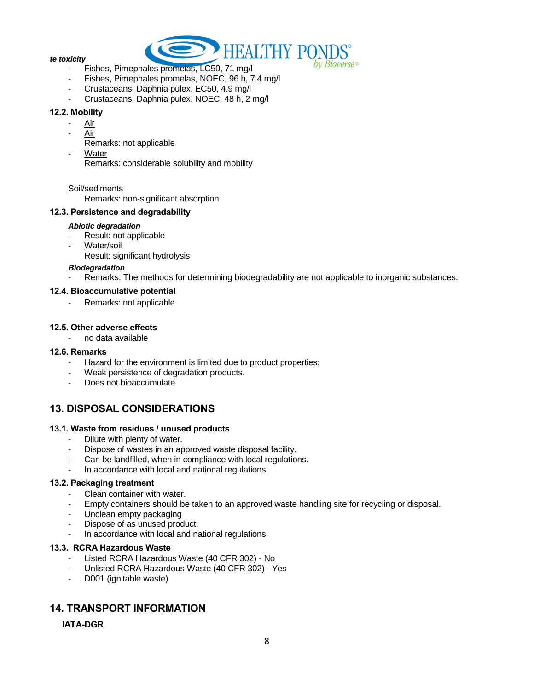

#### *te toxicity*

- Fishes, Pimephales promelas, LC50, 71 mg/l
- Fishes, Pimephales promelas, NOEC, 96 h, 7.4 mg/l
- Crustaceans, Daphnia pulex, EC50, 4.9 mg/l
- Crustaceans, Daphnia pulex, NOEC, 48 h, 2 mg/l

#### **12.2. Mobility**

- Air
- Air
	- Remarks: not applicable
- **Water**

Remarks: considerable solubility and mobility

#### Soil/sediments

Remarks: non-significant absorption

### **12.3. Persistence and degradability**

#### *Abiotic degradation*

- Result: not applicable
- Water/soil
- Result: significant hydrolysis

#### *Biodegradation*

Remarks: The methods for determining biodegradability are not applicable to inorganic substances.

### **12.4. Bioaccumulative potential**

Remarks: not applicable

### **12.5. Other adverse effects**

- no data available

#### **12.6. Remarks**

- Hazard for the environment is limited due to product properties:
- Weak persistence of degradation products.
- Does not bioaccumulate.

# **13. DISPOSAL CONSIDERATIONS**

#### **13.1. Waste from residues / unused products**

- Dilute with plenty of water.
- Dispose of wastes in an approved waste disposal facility.
- Can be landfilled, when in compliance with local regulations.
- In accordance with local and national regulations.

#### **13.2. Packaging treatment**

- Clean container with water.
- Empty containers should be taken to an approved waste handling site for recycling or disposal.
- Unclean empty packaging
- Dispose of as unused product.
- In accordance with local and national regulations.

#### **13.3. RCRA Hazardous Waste**

- Listed RCRA Hazardous Waste (40 CFR 302) No
- Unlisted RCRA Hazardous Waste (40 CFR 302) Yes
- D001 (ignitable waste)

# **14. TRANSPORT INFORMATION**

### **IATA-DGR**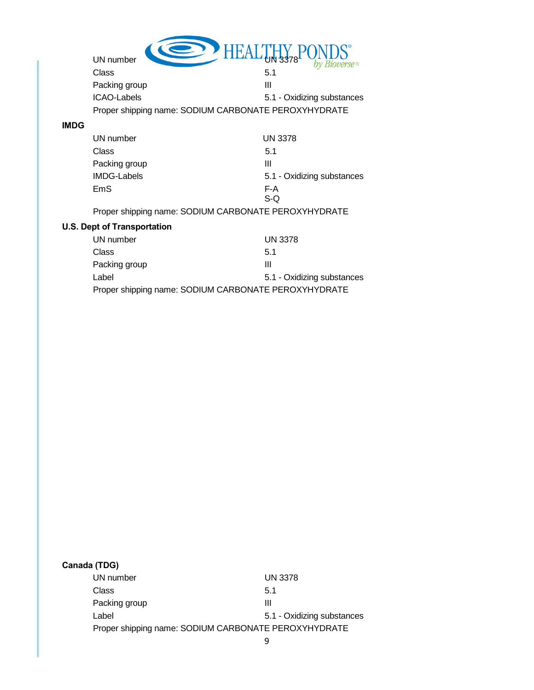|             | HEAL<br>UN number                                    |                            |
|-------------|------------------------------------------------------|----------------------------|
|             |                                                      |                            |
|             | Class                                                | 5.1                        |
|             | Packing group                                        | Ш                          |
|             | <b>ICAO-Labels</b>                                   | 5.1 - Oxidizing substances |
|             | Proper shipping name: SODIUM CARBONATE PEROXYHYDRATE |                            |
| <b>IMDG</b> |                                                      |                            |
|             | UN number                                            | <b>UN 3378</b>             |
|             | Class                                                | 5.1                        |
|             | Packing group                                        | Ш                          |
|             | <b>IMDG-Labels</b>                                   | 5.1 - Oxidizing substances |
|             | EmS                                                  | F-A                        |
|             |                                                      | S-Q                        |
|             | Proper shipping name: SODIUM CARBONATE PEROXYHYDRATE |                            |
|             | <b>U.S. Dept of Transportation</b>                   |                            |
|             | UN number                                            | <b>UN 3378</b>             |
|             | Class                                                | 5.1                        |
|             | Packing group                                        | Ш                          |
|             | Label                                                | 5.1 - Oxidizing substances |
|             | Proper shipping name: SODIUM CARBONATE PEROXYHYDRATE |                            |

| Canada (TDG)  |                                                      |
|---------------|------------------------------------------------------|
| UN number     | <b>UN 3378</b>                                       |
| Class         | 5.1                                                  |
| Packing group | Ш                                                    |
| Label         | 5.1 - Oxidizing substances                           |
|               | Proper shipping name: SODIUM CARBONATE PEROXYHYDRATE |
|               |                                                      |